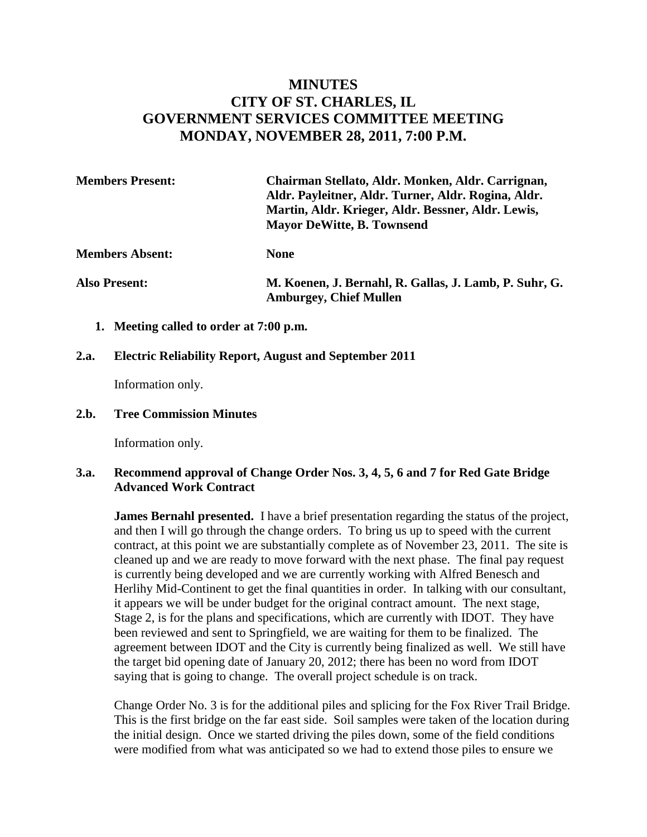# **MINUTES CITY OF ST. CHARLES, IL GOVERNMENT SERVICES COMMITTEE MEETING MONDAY, NOVEMBER 28, 2011, 7:00 P.M.**

| <b>Members Present:</b> | Chairman Stellato, Aldr. Monken, Aldr. Carrignan,<br>Aldr. Payleitner, Aldr. Turner, Aldr. Rogina, Aldr.<br>Martin, Aldr. Krieger, Aldr. Bessner, Aldr. Lewis,<br><b>Mayor DeWitte, B. Townsend</b> |
|-------------------------|-----------------------------------------------------------------------------------------------------------------------------------------------------------------------------------------------------|
| <b>Members Absent:</b>  | <b>None</b>                                                                                                                                                                                         |
| <b>Also Present:</b>    | M. Koenen, J. Bernahl, R. Gallas, J. Lamb, P. Suhr, G.                                                                                                                                              |

**Amburgey, Chief Mullen** 

**1. Meeting called to order at 7:00 p.m.** 

#### **2.a. Electric Reliability Report, August and September 2011**

Information only.

#### **2.b. Tree Commission Minutes**

Information only.

## **3.a. Recommend approval of Change Order Nos. 3, 4, 5, 6 and 7 for Red Gate Bridge Advanced Work Contract**

**James Bernahl presented.** I have a brief presentation regarding the status of the project, and then I will go through the change orders. To bring us up to speed with the current contract, at this point we are substantially complete as of November 23, 2011. The site is cleaned up and we are ready to move forward with the next phase. The final pay request is currently being developed and we are currently working with Alfred Benesch and Herlihy Mid-Continent to get the final quantities in order. In talking with our consultant, it appears we will be under budget for the original contract amount. The next stage, Stage 2, is for the plans and specifications, which are currently with IDOT. They have been reviewed and sent to Springfield, we are waiting for them to be finalized. The agreement between IDOT and the City is currently being finalized as well. We still have the target bid opening date of January 20, 2012; there has been no word from IDOT saying that is going to change. The overall project schedule is on track.

Change Order No. 3 is for the additional piles and splicing for the Fox River Trail Bridge. This is the first bridge on the far east side. Soil samples were taken of the location during the initial design. Once we started driving the piles down, some of the field conditions were modified from what was anticipated so we had to extend those piles to ensure we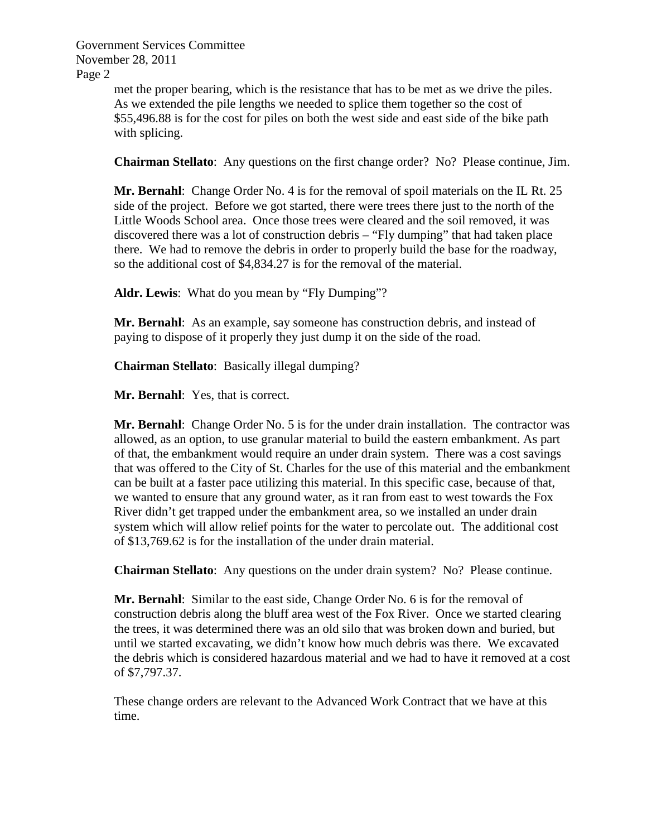> met the proper bearing, which is the resistance that has to be met as we drive the piles. As we extended the pile lengths we needed to splice them together so the cost of \$55,496.88 is for the cost for piles on both the west side and east side of the bike path with splicing.

**Chairman Stellato**: Any questions on the first change order? No? Please continue, Jim.

Mr. Bernahl: Change Order No. 4 is for the removal of spoil materials on the IL Rt. 25 side of the project. Before we got started, there were trees there just to the north of the Little Woods School area. Once those trees were cleared and the soil removed, it was discovered there was a lot of construction debris – "Fly dumping" that had taken place there. We had to remove the debris in order to properly build the base for the roadway, so the additional cost of \$4,834.27 is for the removal of the material.

**Aldr. Lewis**: What do you mean by "Fly Dumping"?

**Mr. Bernahl**: As an example, say someone has construction debris, and instead of paying to dispose of it properly they just dump it on the side of the road.

**Chairman Stellato**: Basically illegal dumping?

**Mr. Bernahl**: Yes, that is correct.

**Mr. Bernahl**: Change Order No. 5 is for the under drain installation. The contractor was allowed, as an option, to use granular material to build the eastern embankment. As part of that, the embankment would require an under drain system. There was a cost savings that was offered to the City of St. Charles for the use of this material and the embankment can be built at a faster pace utilizing this material. In this specific case, because of that, we wanted to ensure that any ground water, as it ran from east to west towards the Fox River didn't get trapped under the embankment area, so we installed an under drain system which will allow relief points for the water to percolate out. The additional cost of \$13,769.62 is for the installation of the under drain material.

**Chairman Stellato**: Any questions on the under drain system? No? Please continue.

**Mr. Bernahl**: Similar to the east side, Change Order No. 6 is for the removal of construction debris along the bluff area west of the Fox River. Once we started clearing the trees, it was determined there was an old silo that was broken down and buried, but until we started excavating, we didn't know how much debris was there. We excavated the debris which is considered hazardous material and we had to have it removed at a cost of \$7,797.37.

These change orders are relevant to the Advanced Work Contract that we have at this time.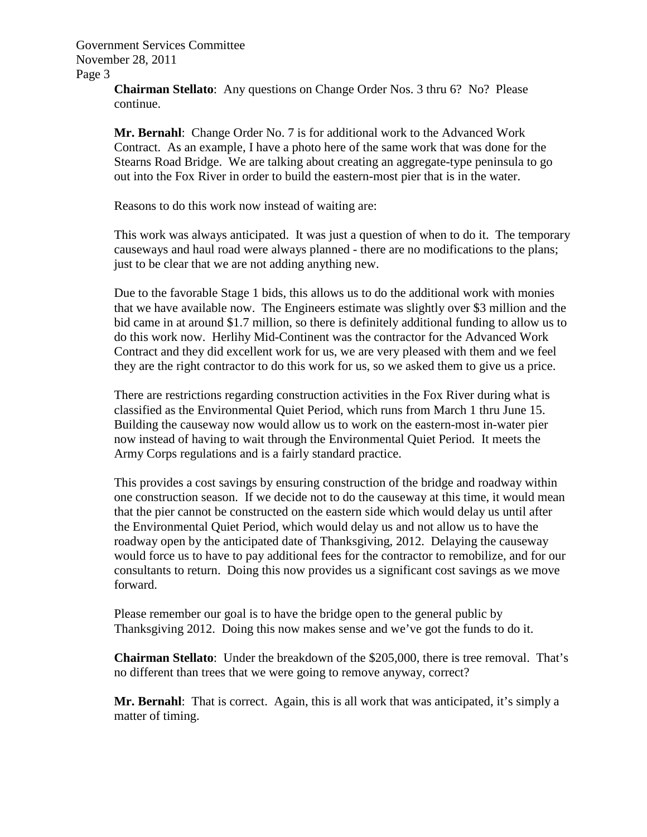> **Chairman Stellato**: Any questions on Change Order Nos. 3 thru 6? No? Please continue.

**Mr. Bernahl**: Change Order No. 7 is for additional work to the Advanced Work Contract. As an example, I have a photo here of the same work that was done for the Stearns Road Bridge. We are talking about creating an aggregate-type peninsula to go out into the Fox River in order to build the eastern-most pier that is in the water.

Reasons to do this work now instead of waiting are:

This work was always anticipated. It was just a question of when to do it. The temporary causeways and haul road were always planned - there are no modifications to the plans; just to be clear that we are not adding anything new.

Due to the favorable Stage 1 bids, this allows us to do the additional work with monies that we have available now. The Engineers estimate was slightly over \$3 million and the bid came in at around \$1.7 million, so there is definitely additional funding to allow us to do this work now. Herlihy Mid-Continent was the contractor for the Advanced Work Contract and they did excellent work for us, we are very pleased with them and we feel they are the right contractor to do this work for us, so we asked them to give us a price.

There are restrictions regarding construction activities in the Fox River during what is classified as the Environmental Quiet Period, which runs from March 1 thru June 15. Building the causeway now would allow us to work on the eastern-most in-water pier now instead of having to wait through the Environmental Quiet Period. It meets the Army Corps regulations and is a fairly standard practice.

This provides a cost savings by ensuring construction of the bridge and roadway within one construction season. If we decide not to do the causeway at this time, it would mean that the pier cannot be constructed on the eastern side which would delay us until after the Environmental Quiet Period, which would delay us and not allow us to have the roadway open by the anticipated date of Thanksgiving, 2012. Delaying the causeway would force us to have to pay additional fees for the contractor to remobilize, and for our consultants to return. Doing this now provides us a significant cost savings as we move forward.

Please remember our goal is to have the bridge open to the general public by Thanksgiving 2012. Doing this now makes sense and we've got the funds to do it.

**Chairman Stellato**: Under the breakdown of the \$205,000, there is tree removal. That's no different than trees that we were going to remove anyway, correct?

**Mr. Bernahl**: That is correct. Again, this is all work that was anticipated, it's simply a matter of timing.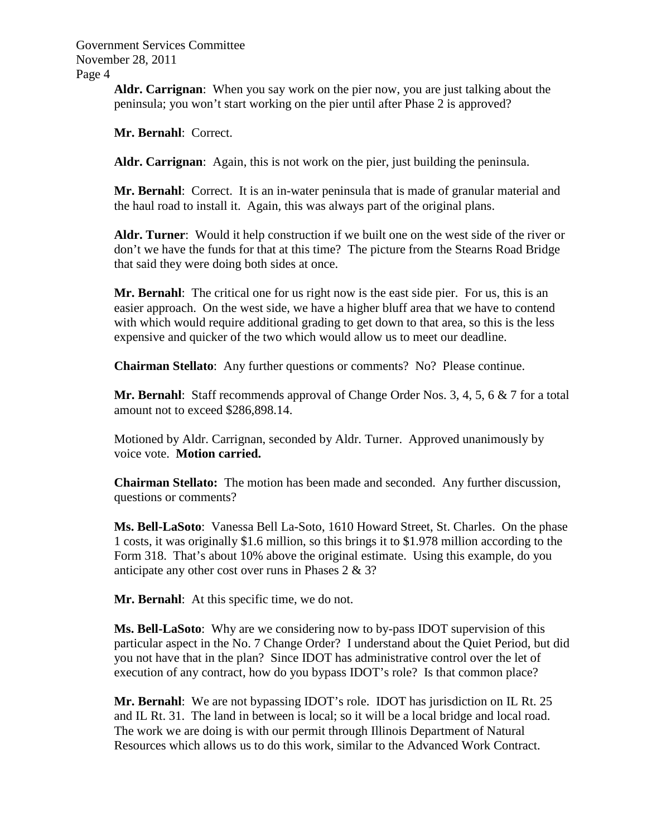> **Aldr. Carrignan**: When you say work on the pier now, you are just talking about the peninsula; you won't start working on the pier until after Phase 2 is approved?

**Mr. Bernahl**: Correct.

**Aldr. Carrignan**: Again, this is not work on the pier, just building the peninsula.

**Mr. Bernahl**: Correct. It is an in-water peninsula that is made of granular material and the haul road to install it. Again, this was always part of the original plans.

**Aldr. Turner**: Would it help construction if we built one on the west side of the river or don't we have the funds for that at this time? The picture from the Stearns Road Bridge that said they were doing both sides at once.

**Mr. Bernahl**: The critical one for us right now is the east side pier. For us, this is an easier approach. On the west side, we have a higher bluff area that we have to contend with which would require additional grading to get down to that area, so this is the less expensive and quicker of the two which would allow us to meet our deadline.

**Chairman Stellato**: Any further questions or comments? No? Please continue.

**Mr. Bernahl**: Staff recommends approval of Change Order Nos. 3, 4, 5, 6 & 7 for a total amount not to exceed \$286,898.14.

Motioned by Aldr. Carrignan, seconded by Aldr. Turner. Approved unanimously by voice vote. **Motion carried.** 

**Chairman Stellato:** The motion has been made and seconded. Any further discussion, questions or comments?

**Ms. Bell-LaSoto**: Vanessa Bell La-Soto, 1610 Howard Street, St. Charles. On the phase 1 costs, it was originally \$1.6 million, so this brings it to \$1.978 million according to the Form 318. That's about 10% above the original estimate. Using this example, do you anticipate any other cost over runs in Phases 2 & 3?

**Mr. Bernahl**: At this specific time, we do not.

**Ms. Bell-LaSoto**: Why are we considering now to by-pass IDOT supervision of this particular aspect in the No. 7 Change Order? I understand about the Quiet Period, but did you not have that in the plan? Since IDOT has administrative control over the let of execution of any contract, how do you bypass IDOT's role? Is that common place?

**Mr. Bernahl**: We are not bypassing IDOT's role. IDOT has jurisdiction on IL Rt. 25 and IL Rt. 31. The land in between is local; so it will be a local bridge and local road. The work we are doing is with our permit through Illinois Department of Natural Resources which allows us to do this work, similar to the Advanced Work Contract.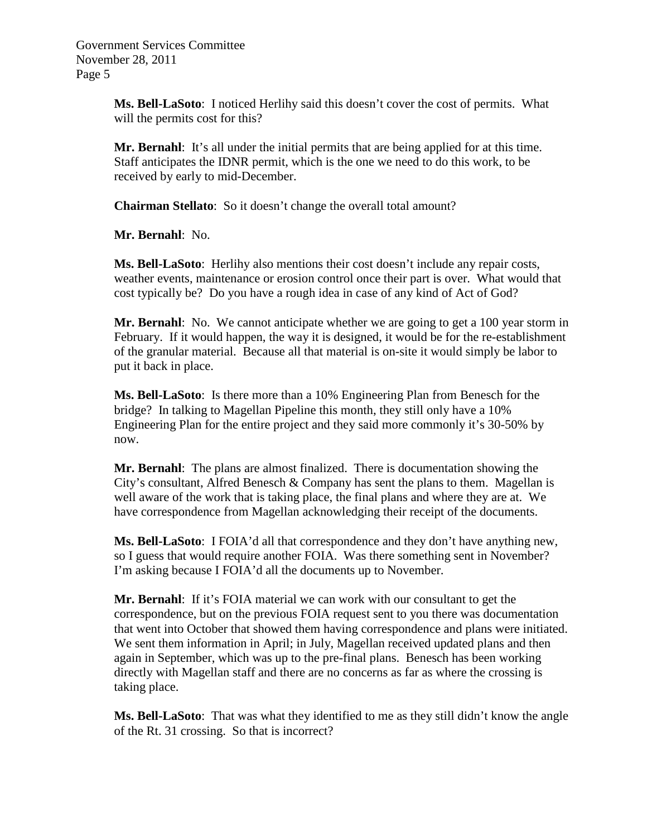> **Ms. Bell-LaSoto**: I noticed Herlihy said this doesn't cover the cost of permits. What will the permits cost for this?

**Mr. Bernahl**: It's all under the initial permits that are being applied for at this time. Staff anticipates the IDNR permit, which is the one we need to do this work, to be received by early to mid-December.

**Chairman Stellato**: So it doesn't change the overall total amount?

**Mr. Bernahl**: No.

**Ms. Bell-LaSoto**: Herlihy also mentions their cost doesn't include any repair costs, weather events, maintenance or erosion control once their part is over. What would that cost typically be? Do you have a rough idea in case of any kind of Act of God?

**Mr. Bernahl**: No. We cannot anticipate whether we are going to get a 100 year storm in February. If it would happen, the way it is designed, it would be for the re-establishment of the granular material. Because all that material is on-site it would simply be labor to put it back in place.

**Ms. Bell-LaSoto**: Is there more than a 10% Engineering Plan from Benesch for the bridge? In talking to Magellan Pipeline this month, they still only have a 10% Engineering Plan for the entire project and they said more commonly it's 30-50% by now.

**Mr. Bernahl**: The plans are almost finalized. There is documentation showing the City's consultant, Alfred Benesch & Company has sent the plans to them. Magellan is well aware of the work that is taking place, the final plans and where they are at. We have correspondence from Magellan acknowledging their receipt of the documents.

**Ms. Bell-LaSoto**: I FOIA'd all that correspondence and they don't have anything new, so I guess that would require another FOIA. Was there something sent in November? I'm asking because I FOIA'd all the documents up to November.

**Mr. Bernahl**: If it's FOIA material we can work with our consultant to get the correspondence, but on the previous FOIA request sent to you there was documentation that went into October that showed them having correspondence and plans were initiated. We sent them information in April; in July, Magellan received updated plans and then again in September, which was up to the pre-final plans. Benesch has been working directly with Magellan staff and there are no concerns as far as where the crossing is taking place.

**Ms. Bell-LaSoto**: That was what they identified to me as they still didn't know the angle of the Rt. 31 crossing. So that is incorrect?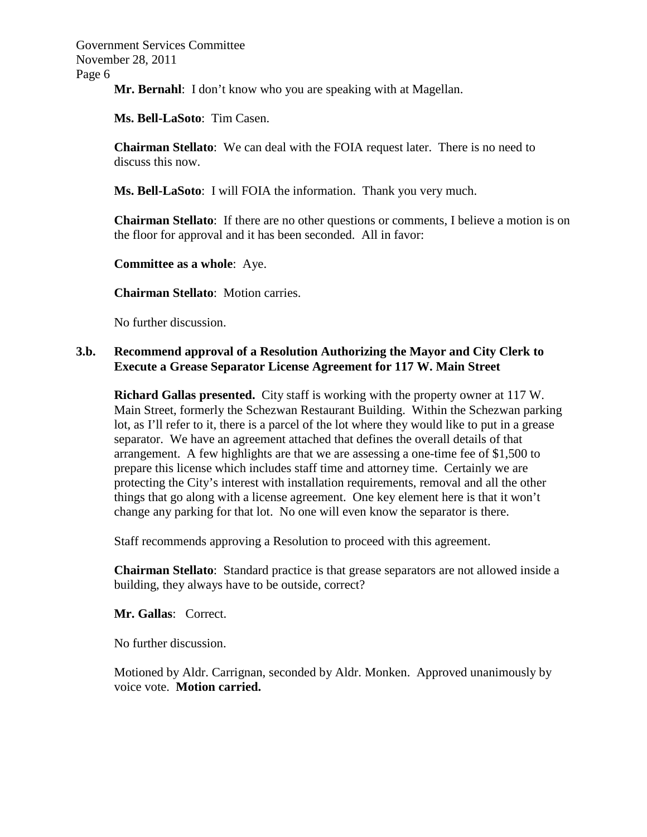**Mr. Bernahl**: I don't know who you are speaking with at Magellan.

**Ms. Bell-LaSoto**: Tim Casen.

**Chairman Stellato**: We can deal with the FOIA request later. There is no need to discuss this now.

**Ms. Bell-LaSoto**: I will FOIA the information. Thank you very much.

**Chairman Stellato**: If there are no other questions or comments, I believe a motion is on the floor for approval and it has been seconded. All in favor:

**Committee as a whole**: Aye.

**Chairman Stellato**: Motion carries.

No further discussion.

# **3.b. Recommend approval of a Resolution Authorizing the Mayor and City Clerk to Execute a Grease Separator License Agreement for 117 W. Main Street**

**Richard Gallas presented.** City staff is working with the property owner at 117 W. Main Street, formerly the Schezwan Restaurant Building. Within the Schezwan parking lot, as I'll refer to it, there is a parcel of the lot where they would like to put in a grease separator. We have an agreement attached that defines the overall details of that arrangement. A few highlights are that we are assessing a one-time fee of \$1,500 to prepare this license which includes staff time and attorney time. Certainly we are protecting the City's interest with installation requirements, removal and all the other things that go along with a license agreement. One key element here is that it won't change any parking for that lot. No one will even know the separator is there.

Staff recommends approving a Resolution to proceed with this agreement.

**Chairman Stellato**: Standard practice is that grease separators are not allowed inside a building, they always have to be outside, correct?

**Mr. Gallas**: Correct.

No further discussion.

Motioned by Aldr. Carrignan, seconded by Aldr. Monken. Approved unanimously by voice vote. **Motion carried.**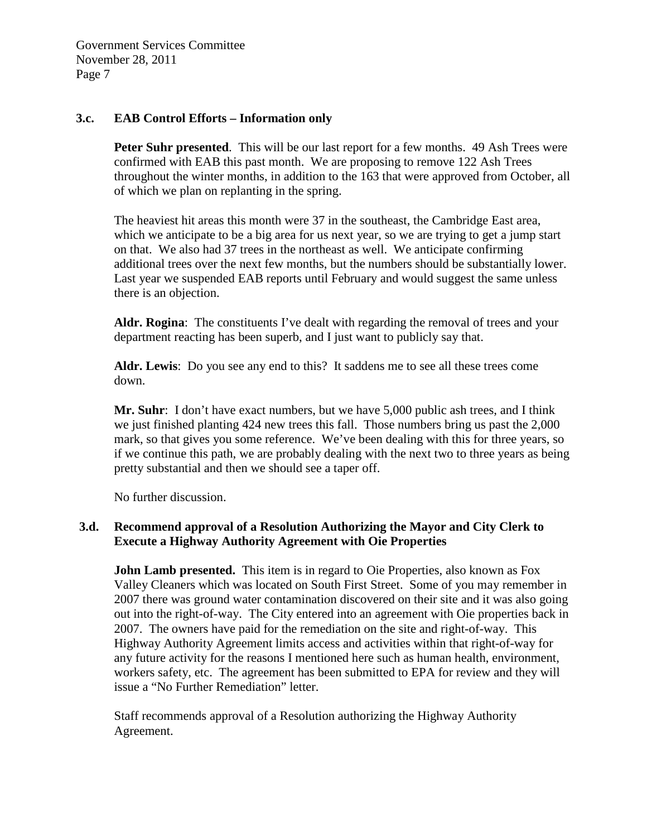## **3.c. EAB Control Efforts – Information only**

**Peter Suhr presented**. This will be our last report for a few months. 49 Ash Trees were confirmed with EAB this past month. We are proposing to remove 122 Ash Trees throughout the winter months, in addition to the 163 that were approved from October, all of which we plan on replanting in the spring.

The heaviest hit areas this month were 37 in the southeast, the Cambridge East area, which we anticipate to be a big area for us next year, so we are trying to get a jump start on that. We also had 37 trees in the northeast as well. We anticipate confirming additional trees over the next few months, but the numbers should be substantially lower. Last year we suspended EAB reports until February and would suggest the same unless there is an objection.

**Aldr. Rogina**: The constituents I've dealt with regarding the removal of trees and your department reacting has been superb, and I just want to publicly say that.

**Aldr. Lewis**: Do you see any end to this? It saddens me to see all these trees come down.

**Mr. Suhr**: I don't have exact numbers, but we have 5,000 public ash trees, and I think we just finished planting 424 new trees this fall. Those numbers bring us past the 2,000 mark, so that gives you some reference. We've been dealing with this for three years, so if we continue this path, we are probably dealing with the next two to three years as being pretty substantial and then we should see a taper off.

No further discussion.

# **3.d. Recommend approval of a Resolution Authorizing the Mayor and City Clerk to Execute a Highway Authority Agreement with Oie Properties**

**John Lamb presented.** This item is in regard to Oie Properties, also known as Fox Valley Cleaners which was located on South First Street. Some of you may remember in 2007 there was ground water contamination discovered on their site and it was also going out into the right-of-way. The City entered into an agreement with Oie properties back in 2007. The owners have paid for the remediation on the site and right-of-way. This Highway Authority Agreement limits access and activities within that right-of-way for any future activity for the reasons I mentioned here such as human health, environment, workers safety, etc. The agreement has been submitted to EPA for review and they will issue a "No Further Remediation" letter.

Staff recommends approval of a Resolution authorizing the Highway Authority Agreement.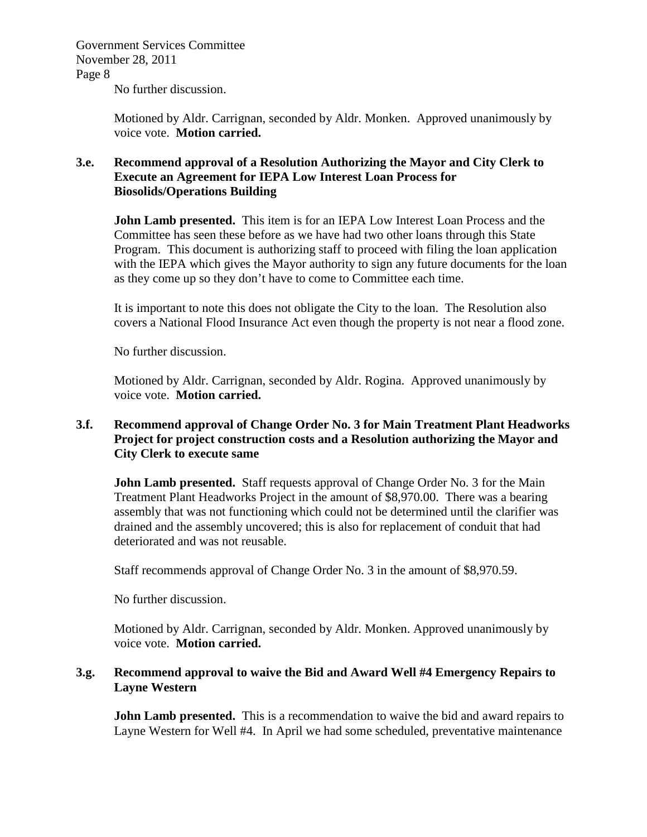No further discussion.

Motioned by Aldr. Carrignan, seconded by Aldr. Monken. Approved unanimously by voice vote. **Motion carried.** 

# **3.e. Recommend approval of a Resolution Authorizing the Mayor and City Clerk to Execute an Agreement for IEPA Low Interest Loan Process for Biosolids/Operations Building**

**John Lamb presented.** This item is for an IEPA Low Interest Loan Process and the Committee has seen these before as we have had two other loans through this State Program. This document is authorizing staff to proceed with filing the loan application with the IEPA which gives the Mayor authority to sign any future documents for the loan as they come up so they don't have to come to Committee each time.

It is important to note this does not obligate the City to the loan. The Resolution also covers a National Flood Insurance Act even though the property is not near a flood zone.

No further discussion.

Motioned by Aldr. Carrignan, seconded by Aldr. Rogina. Approved unanimously by voice vote. **Motion carried.** 

# **3.f. Recommend approval of Change Order No. 3 for Main Treatment Plant Headworks Project for project construction costs and a Resolution authorizing the Mayor and City Clerk to execute same**

**John Lamb presented.** Staff requests approval of Change Order No. 3 for the Main Treatment Plant Headworks Project in the amount of \$8,970.00. There was a bearing assembly that was not functioning which could not be determined until the clarifier was drained and the assembly uncovered; this is also for replacement of conduit that had deteriorated and was not reusable.

Staff recommends approval of Change Order No. 3 in the amount of \$8,970.59.

No further discussion.

Motioned by Aldr. Carrignan, seconded by Aldr. Monken. Approved unanimously by voice vote. **Motion carried.** 

# **3.g. Recommend approval to waive the Bid and Award Well #4 Emergency Repairs to Layne Western**

**John Lamb presented.** This is a recommendation to waive the bid and award repairs to Layne Western for Well #4. In April we had some scheduled, preventative maintenance